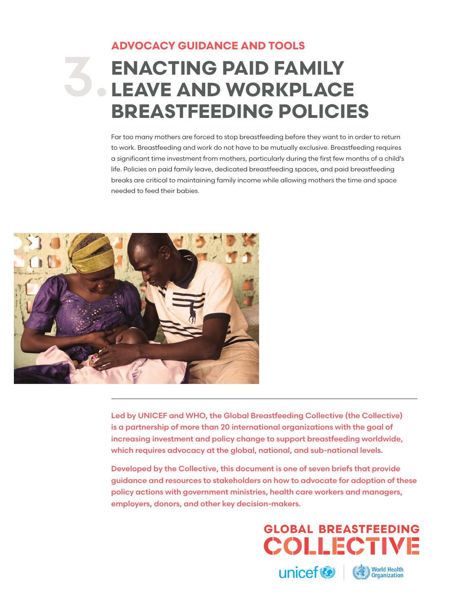# **ADVOCACY GUIDANCE AND TOOLS**

# **ENACTING PAID FAMILY LEAVE AND WORKPLACE BREASTFEEDING POLICIES** 3.

Far too many mothers are forced to stop breastfeeding before they want to in order to return to work. Breastfeeding and work do not have to be mutually exclusive. Breastfeeding requires a significant time investment from mothers, particularly during the first few months of a child's life. Policies on paid family leave, dedicated breastfeeding spaces, and paid breastfeeding breaks are critical to maintaining family income while allowing mothers the time and space needed to feed their babies.



Led by UNICEF and WHO, the Global Breastfeeding Collective (the Collective) is a partnership of more than 20 international organizations with the goal of increasing investment and policy change to support breastfeeding worldwide, which requires advocacy at the global, national, and sub-national levels.

Developed by the Collective, this document is one of seven briefs that provide guidance and resources to stakeholders on how to advocate for adoption of these policy actions with government ministries, health care workers and managers, employers, donors, and other key decision-makers.

> **GLOBAL BREASTFEEDING COLLECTIVE**

unicef<sup>®</sup>

**World Health**<br>Organization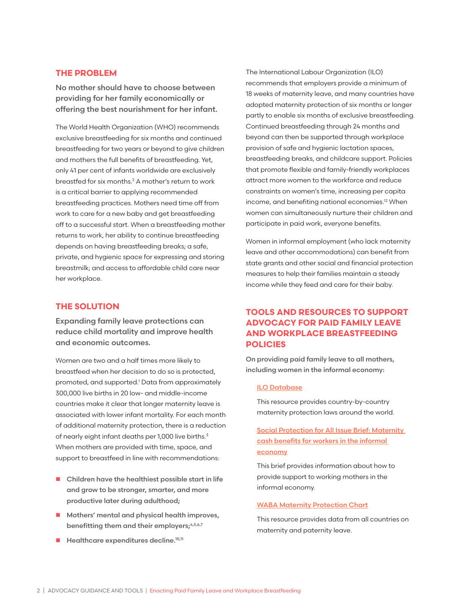### **THE PROBLEM**

No mother should have to choose between providing for her family economically or offering the best nourishment for her infant.

The World Health Organization (WHO) recommends exclusive breastfeeding for six months and continued breastfeeding for two years or beyond to give children and mothers the full benefits of breastfeeding. Yet, only 41 per cent of infants worldwide are exclusively breastfed for six months.<sup>2</sup> A mother's return to work is a critical barrier to applying recommended breastfeeding practices. Mothers need time off from work to care for a new baby and get breastfeeding off to a successful start. When a breastfeeding mother returns to work, her ability to continue breastfeeding depends on having breastfeeding breaks; a safe, private, and hygienic space for expressing and storing breastmilk; and access to affordable child care near her workplace.

## **THE SOLUTION**

Expanding family leave protections can reduce child mortality and improve health and economic outcomes.

Women are two and a half times more likely to breastfeed when her decision to do so is protected, promoted, and supported.<sup>1</sup> Data from approximately 300,000 live births in 20 low- and middle-income countries make it clear that longer maternity leave is associated with lower infant mortality. For each month of additional maternity protection, there is a reduction of nearly eight infant deaths per 1,000 live births.<sup>3</sup> When mothers are provided with time, space, and support to breastfeed in line with recommendations:

- $\blacksquare$  Children have the healthiest possible start in life and grow to be stronger, smarter, and more productive later during adulthood;
- $\blacksquare$  Mothers' mental and physical health improves, benefitting them and their employers;<sup>4,5,6,7</sup>
- $\blacksquare$  Healthcare expenditures decline.<sup>10,11</sup>

The International Labour Organization (ILO) recommends that employers provide a minimum of 18 weeks of maternity leave, and many countries have adopted maternity protection of six months or longer partly to enable six months of exclusive breastfeeding. Continued breastfeeding through 24 months and beyond can then be supported through workplace provision of safe and hygienic lactation spaces, breastfeeding breaks, and childcare support. Policies that promote flexible and family-friendly workplaces attract more women to the workforce and reduce constraints on women's time, increasing per capita income, and benefiting national economies.12 When women can simultaneously nurture their children and participate in paid work, everyone benefits.

Women in informal employment (who lack maternity leave and other accommodations) can benefit from state grants and other social and financial protection measures to help their families maintain a steady income while they feed and care for their baby.

# **TOOLS AND RESOURCES TO SUPPORT ADVOCACY FOR PAID FAMILY LEAVE AND WORKPLACE BREASTFEEDING POLICIES**

On providing paid family leave to all mothers, including women in the informal economy:

#### [ILO Databas](http://www.ilo.org/travail/areasofwork/maternity-protection/WCMS_145724/lang--en/index.htm)e

This resource provides country-by-country maternity protection laws around the world.

# [Social Protection for All Issue Brief: Maternity](https://www.social-protection.org/gimi/gess/RessourcePDF.action?ressource.ressourceId=54094)  [cash benefits for workers in the informal](https://www.social-protection.org/gimi/gess/RessourcePDF.action?ressource.ressourceId=54094)  [economy](https://www.social-protection.org/gimi/gess/RessourcePDF.action?ressource.ressourceId=54094)

This brief provides information about how to provide support to working mothers in the informal economy.

#### [WABA Maternity Protection Chart](http://www.waba.org.my/whatwedo/womenandwork/pdf/mpchart2015.pdf)

This resource provides data from all countries on maternity and paternity leave.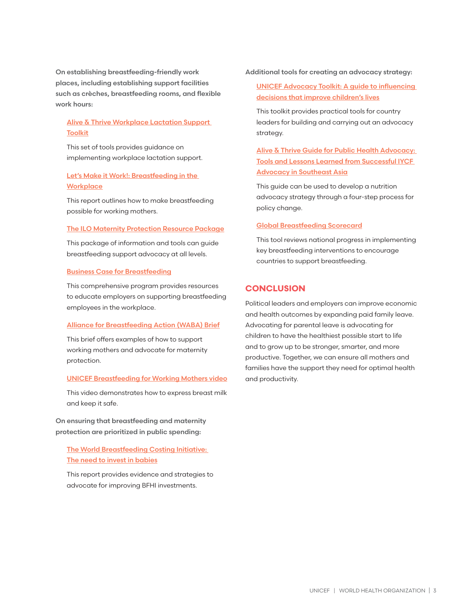On establishing breastfeeding-friendly work places, including establishing support facilities such as crèches, breastfeeding rooms, and flexible work hours:

# [Alive & Thrive Workplace Lactation Support](https://www.aliveandthrive.org/wp-content/uploads/2018/02/Workplace-Toolkit_Eng.pdf)  **[Toolkit](https://www.aliveandthrive.org/wp-content/uploads/2018/02/Workplace-Toolkit_Eng.pdf)**

This set of tools provides guidance on implementing workplace lactation support.

# [Let's Make it Work!: Breastfeeding in the](https://www.healthynewbornnetwork.org/hnn-content/uploads/Mother_BabyFriendlyWorkplaceInitiativeC4D_web1_002_.pdf)  **[Workplace](https://www.healthynewbornnetwork.org/hnn-content/uploads/Mother_BabyFriendlyWorkplaceInitiativeC4D_web1_002_.pdf)**

This report outlines how to make breastfeeding possible for working mothers.

#### [The ILO Maternity Protection Resource Package](http://mprp.itcilo.org/pages/en/modules.html)

This package of information and tools can guide breastfeeding support advocacy at all levels.

#### [Business Case for Breastfeeding](https://www.womenshealth.gov/breastfeeding/breastfeeding-home-work-and-public/breastfeeding-and-going-back-work/business-case)

This comprehensive program provides resources to educate employers on supporting breastfeeding employees in the workplace.

#### [Alliance for Breastfeeding Action \(WABA\) Brief](http://worldbreastfeedingweek.org/2015/pdf/wbw2015-af-eng.pdf)

This brief offers examples of how to support working mothers and advocate for maternity protection.

#### [UNICEF Breastfeeding for Working Mothers video](https://www.youtube.com/watch?v=tT103Ns_fx4&feature=youtu.be)

This video demonstrates how to express breast milk and keep it safe.

On ensuring that breastfeeding and maternity protection are prioritized in public spending:

[The World Breastfeeding Costing Initiative:](http://www.worldbreastfeedingcosting.org/wbci/The-Need-to-Invest-in-Babies.pdf)  [The need to invest in babies](http://www.worldbreastfeedingcosting.org/wbci/The-Need-to-Invest-in-Babies.pdf)

This report provides evidence and strategies to advocate for improving BFHI investments.

Additional tools for creating an advocacy strategy:

[UNICEF Advocacy Toolkit: A guide to influencing](https://www.unicef.org/cbsc/files/Advocacy_Toolkit.pdf)  [decisions that improve children's lives](https://www.unicef.org/cbsc/files/Advocacy_Toolkit.pdf)

This toolkit provides practical tools for country leaders for building and carrying out an advocacy strategy.

Alive & Thrive Guide for Public Health Advocacy: [Tools and Lessons Learned from Successful IYCF](https://www.aliveandthrive.org/wp-content/uploads/2018/02/Guide_Infant_Child_Feeding_Advocacy.pdf)  **[Advocacy in Southeast Asia](https://www.aliveandthrive.org/wp-content/uploads/2018/02/Guide_Infant_Child_Feeding_Advocacy.pdf)** 

This guide can be used to develop a nutrition advocacy strategy through a four-step process for policy change.

#### [Global Breastfeeding Scorecard](https://www.who.int/nutrition/publications/infantfeeding/global-bf-scorecard-2018/en/)

This tool reviews national progress in implementing key breastfeeding interventions to encourage countries to support breastfeeding.

# **CONCLUSION**

Political leaders and employers can improve economic and health outcomes by expanding paid family leave. Advocating for parental leave is advocating for children to have the healthiest possible start to life and to grow up to be stronger, smarter, and more productive. Together, we can ensure all mothers and families have the support they need for optimal health and productivity.